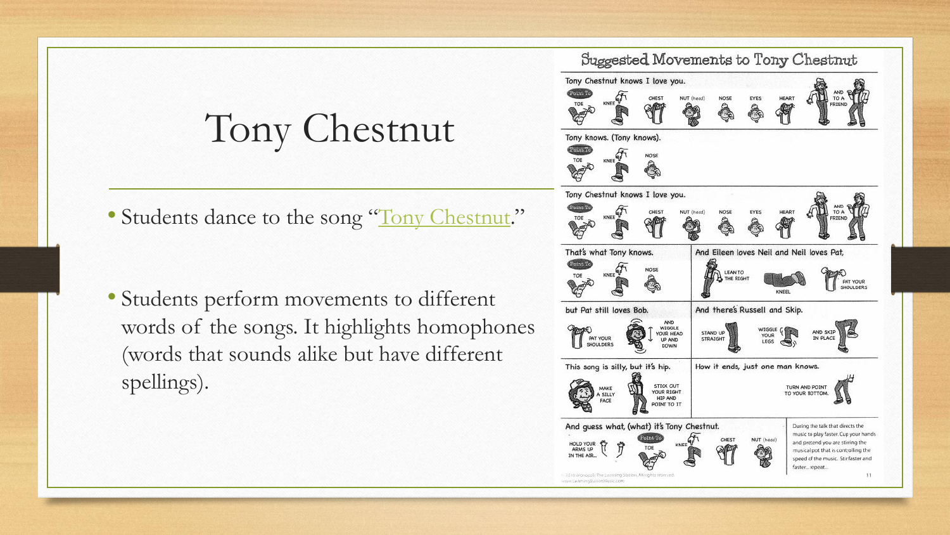## Tony Chestnut

• Students dance to the song "[Tony Chestnut](http://www.tonychestnut.com/tony-chestnut-lyrics.shtml)."

• Students perform movements to different words of the songs. It highlights homophones (words that sounds alike but have different spellings).

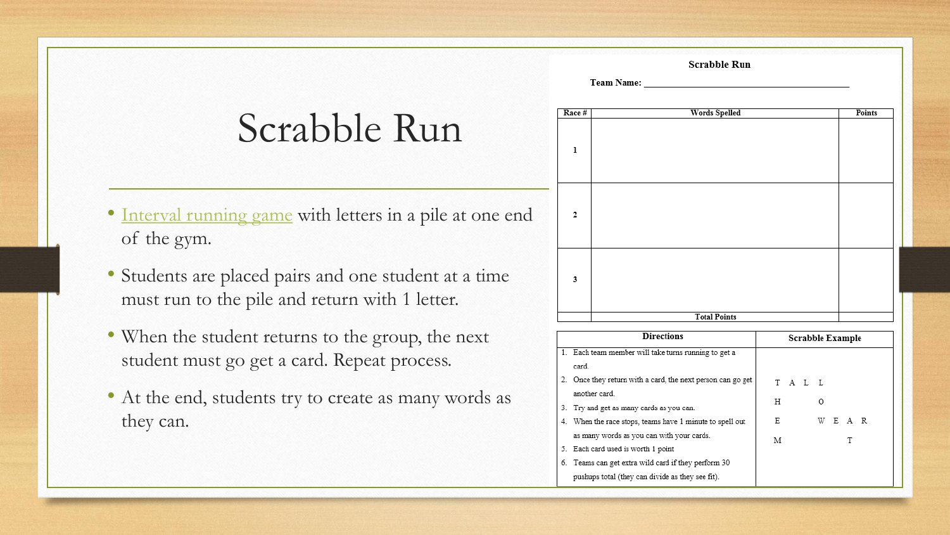Scrabble Rt

| Team Name |  |
|-----------|--|
|           |  |

### Scrabble Run

- [Interval running game](http://www.supportrealteachers.org/fitness-activities.html) with letters in a pile at one end of the gym.
- Students are placed pairs and one student at a time must run to the pile and return with 1 letter.
- When the student returns to the group, the next student must go get a card. Repeat process.
- At the end, students try to create as many words as they can.

| Race # | Words Spelled       |
|--------|---------------------|
| ı      |                     |
| 2      |                     |
| 3      |                     |
|        | <b>Total Points</b> |

### **Directions**

- 1. Each team member will take turns running to get a card.
- 2. Once they return with a card, the next person can go another card.
- 3. Try and get as many cards as you can.
- 4. When the race stops, teams have 1 minute to spell ou as many words as you can with your cards.
- 5. Each card used is worth 1 point
- 6. Teams can get extra wild card if they perform 30 pushups total (they can divide as they see fit).

| un             |                                                                                                    |  |  |  |  |
|----------------|----------------------------------------------------------------------------------------------------|--|--|--|--|
|                |                                                                                                    |  |  |  |  |
|                | Points                                                                                             |  |  |  |  |
|                |                                                                                                    |  |  |  |  |
|                |                                                                                                    |  |  |  |  |
|                |                                                                                                    |  |  |  |  |
|                |                                                                                                    |  |  |  |  |
|                |                                                                                                    |  |  |  |  |
|                |                                                                                                    |  |  |  |  |
|                |                                                                                                    |  |  |  |  |
|                |                                                                                                    |  |  |  |  |
|                |                                                                                                    |  |  |  |  |
|                |                                                                                                    |  |  |  |  |
|                |                                                                                                    |  |  |  |  |
|                |                                                                                                    |  |  |  |  |
|                |                                                                                                    |  |  |  |  |
|                |                                                                                                    |  |  |  |  |
|                |                                                                                                    |  |  |  |  |
|                |                                                                                                    |  |  |  |  |
|                | Scrabble Example                                                                                   |  |  |  |  |
|                |                                                                                                    |  |  |  |  |
|                |                                                                                                    |  |  |  |  |
| $\mathsf{get}$ | $T \quad A \quad L \quad L$                                                                        |  |  |  |  |
|                |                                                                                                    |  |  |  |  |
|                | Η<br>O                                                                                             |  |  |  |  |
| ut             | $\begin{array}{cccc} \mathbf{W} & \mathbf{E} & \mathbf{A} & \mathbf{R} \end{array}$<br>$\mathbb E$ |  |  |  |  |
|                | $\mathbf M$<br>T                                                                                   |  |  |  |  |
|                |                                                                                                    |  |  |  |  |
|                |                                                                                                    |  |  |  |  |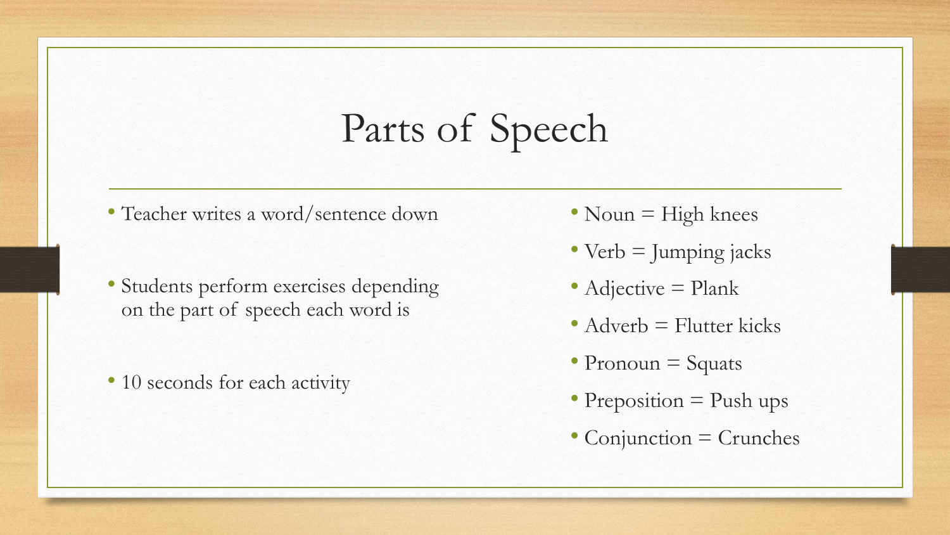## Parts of Speech

- Teacher writes a word/sentence down
- Students perform exercises depending on the part of speech each word is
- 10 seconds for each activity
- Noun = High knees
- Verb = Jumping jacks
- Adjective = Plank
- Adverb = Flutter kicks
- Pronoun = Squats
- Preposition = Push ups
- Conjunction = Crunches